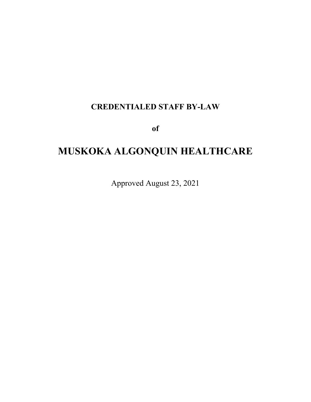# **CREDENTIALED STAFF BY-LAW**

**of** 

# **MUSKOKA ALGONQUIN HEALTHCARE**

Approved August 23, 2021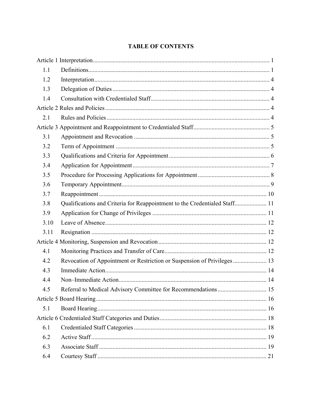# **TABLE OF CONTENTS**

| 1.1  |                                                                            |  |  |  |
|------|----------------------------------------------------------------------------|--|--|--|
| 1.2  |                                                                            |  |  |  |
| 1.3  |                                                                            |  |  |  |
| 1.4  |                                                                            |  |  |  |
|      |                                                                            |  |  |  |
| 2.1  |                                                                            |  |  |  |
|      |                                                                            |  |  |  |
| 3.1  |                                                                            |  |  |  |
| 3.2  |                                                                            |  |  |  |
| 3.3  |                                                                            |  |  |  |
| 3.4  |                                                                            |  |  |  |
| 3.5  |                                                                            |  |  |  |
| 3.6  |                                                                            |  |  |  |
| 3.7  |                                                                            |  |  |  |
| 3.8  | Qualifications and Criteria for Reappointment to the Credentialed Staff 11 |  |  |  |
| 3.9  |                                                                            |  |  |  |
| 3.10 |                                                                            |  |  |  |
| 3.11 |                                                                            |  |  |  |
|      |                                                                            |  |  |  |
| 4.1  |                                                                            |  |  |  |
| 4.2  | Revocation of Appointment or Restriction or Suspension of Privileges  13   |  |  |  |
| 4.3  |                                                                            |  |  |  |
| 4.4  |                                                                            |  |  |  |
| 4.5  |                                                                            |  |  |  |
|      |                                                                            |  |  |  |
| 5.1  |                                                                            |  |  |  |
|      |                                                                            |  |  |  |
| 6.1  |                                                                            |  |  |  |
| 6.2  |                                                                            |  |  |  |
| 6.3  |                                                                            |  |  |  |
| 6.4  |                                                                            |  |  |  |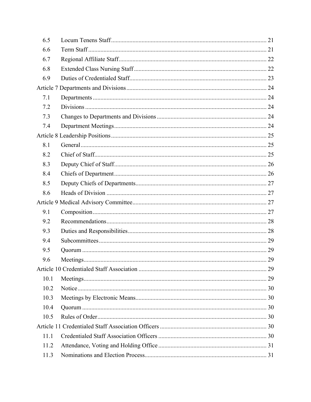| 6.5  |  |  |  |
|------|--|--|--|
| 6.6  |  |  |  |
| 6.7  |  |  |  |
| 6.8  |  |  |  |
| 6.9  |  |  |  |
|      |  |  |  |
| 7.1  |  |  |  |
| 7.2  |  |  |  |
| 7.3  |  |  |  |
| 7.4  |  |  |  |
|      |  |  |  |
| 8.1  |  |  |  |
| 8.2  |  |  |  |
| 8.3  |  |  |  |
| 8.4  |  |  |  |
| 8.5  |  |  |  |
| 8.6  |  |  |  |
|      |  |  |  |
| 9.1  |  |  |  |
| 9.2  |  |  |  |
| 9.3  |  |  |  |
| 9.4  |  |  |  |
| 9.5  |  |  |  |
| 9.6  |  |  |  |
|      |  |  |  |
| 10.1 |  |  |  |
| 10.2 |  |  |  |
| 10.3 |  |  |  |
| 10.4 |  |  |  |
| 10.5 |  |  |  |
|      |  |  |  |
| 11.1 |  |  |  |
| 11.2 |  |  |  |
| 11.3 |  |  |  |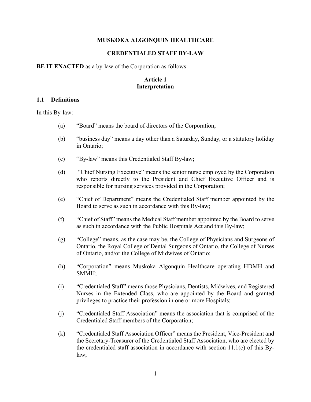#### **MUSKOKA ALGONQUIN HEALTHCARE**

#### **CREDENTIALED STAFF BY-LAW**

**BE IT ENACTED** as a by-law of the Corporation as follows:

# **Article 1 Interpretation**

#### **1.1 Definitions**

In this By-law:

- (a) "Board" means the board of directors of the Corporation;
- (b) "business day" means a day other than a Saturday, Sunday, or a statutory holiday in Ontario;
- (c) "By-law" means this Credentialed Staff By-law;
- (d) "Chief Nursing Executive" means the senior nurse employed by the Corporation who reports directly to the President and Chief Executive Officer and is responsible for nursing services provided in the Corporation;
- (e) "Chief of Department" means the Credentialed Staff member appointed by the Board to serve as such in accordance with this By-law;
- (f) "Chief of Staff" means the Medical Staff member appointed by the Board to serve as such in accordance with the Public Hospitals Act and this By-law;
- (g) "College" means, as the case may be, the College of Physicians and Surgeons of Ontario, the Royal College of Dental Surgeons of Ontario, the College of Nurses of Ontario, and/or the College of Midwives of Ontario;
- (h) "Corporation" means Muskoka Algonquin Healthcare operating HDMH and SMMH;
- (i) "Credentialed Staff" means those Physicians, Dentists, Midwives, and Registered Nurses in the Extended Class, who are appointed by the Board and granted privileges to practice their profession in one or more Hospitals;
- (j) "Credentialed Staff Association" means the association that is comprised of the Credentialed Staff members of the Corporation;
- (k) "Credentialed Staff Association Officer" means the President, Vice-President and the Secretary-Treasurer of the Credentialed Staff Association, who are elected by the credentialed staff association in accordance with section 11.1(c) of this Bylaw;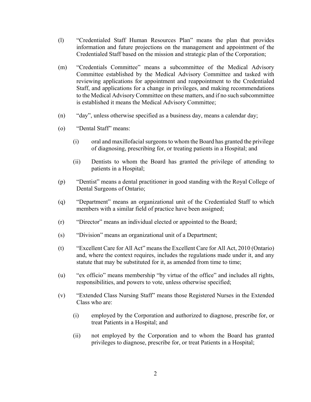- (l) "Credentialed Staff Human Resources Plan" means the plan that provides information and future projections on the management and appointment of the Credentialed Staff based on the mission and strategic plan of the Corporation;
- (m) "Credentials Committee" means a subcommittee of the Medical Advisory Committee established by the Medical Advisory Committee and tasked with reviewing applications for appointment and reappointment to the Credentialed Staff, and applications for a change in privileges, and making recommendations to the Medical Advisory Committee on these matters, and if no such subcommittee is established it means the Medical Advisory Committee;
- (n) "day", unless otherwise specified as a business day, means a calendar day;
- (o) "Dental Staff" means:
	- (i) oral and maxillofacial surgeons to whom the Board has granted the privilege of diagnosing, prescribing for, or treating patients in a Hospital; and
	- (ii) Dentists to whom the Board has granted the privilege of attending to patients in a Hospital;
- (p) "Dentist" means a dental practitioner in good standing with the Royal College of Dental Surgeons of Ontario;
- (q) "Department" means an organizational unit of the Credentialed Staff to which members with a similar field of practice have been assigned;
- (r) "Director" means an individual elected or appointed to the Board;
- (s) "Division" means an organizational unit of a Department;
- (t) "Excellent Care for All Act" means the Excellent Care for All Act, 2010 (Ontario) and, where the context requires, includes the regulations made under it, and any statute that may be substituted for it, as amended from time to time;
- (u) "ex officio" means membership "by virtue of the office" and includes all rights, responsibilities, and powers to vote, unless otherwise specified;
- (v) "Extended Class Nursing Staff" means those Registered Nurses in the Extended Class who are:
	- (i) employed by the Corporation and authorized to diagnose, prescribe for, or treat Patients in a Hospital; and
	- (ii) not employed by the Corporation and to whom the Board has granted privileges to diagnose, prescribe for, or treat Patients in a Hospital;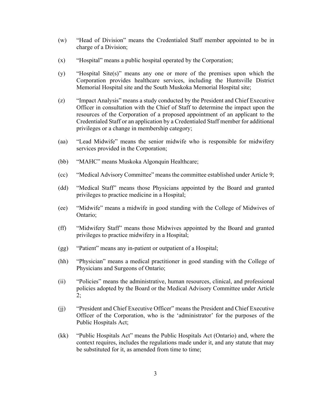- (w) "Head of Division" means the Credentialed Staff member appointed to be in charge of a Division;
- (x) "Hospital" means a public hospital operated by the Corporation;
- (y) "Hospital Site(s)" means any one or more of the premises upon which the Corporation provides healthcare services, including the Huntsville District Memorial Hospital site and the South Muskoka Memorial Hospital site;
- (z) "Impact Analysis" means a study conducted by the President and Chief Executive Officer in consultation with the Chief of Staff to determine the impact upon the resources of the Corporation of a proposed appointment of an applicant to the Credentialed Staff or an application by a Credentialed Staff member for additional privileges or a change in membership category;
- (aa) "Lead Midwife" means the senior midwife who is responsible for midwifery services provided in the Corporation;
- (bb) "MAHC" means Muskoka Algonquin Healthcare;
- (cc) "Medical Advisory Committee" means the committee established under Article 9;
- (dd) "Medical Staff" means those Physicians appointed by the Board and granted privileges to practice medicine in a Hospital;
- (ee) "Midwife" means a midwife in good standing with the College of Midwives of Ontario;
- (ff) "Midwifery Staff" means those Midwives appointed by the Board and granted privileges to practice midwifery in a Hospital;
- (gg) "Patient" means any in-patient or outpatient of a Hospital;
- (hh) "Physician" means a medical practitioner in good standing with the College of Physicians and Surgeons of Ontario;
- (ii) "Policies" means the administrative, human resources, clinical, and professional policies adopted by the Board or the Medical Advisory Committee under Article 2;
- (jj) "President and Chief Executive Officer" means the President and Chief Executive Officer of the Corporation, who is the 'administrator' for the purposes of the Public Hospitals Act;
- (kk) "Public Hospitals Act" means the Public Hospitals Act (Ontario) and, where the context requires, includes the regulations made under it, and any statute that may be substituted for it, as amended from time to time;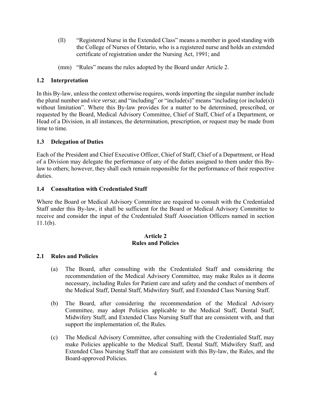- (ll) "Registered Nurse in the Extended Class" means a member in good standing with the College of Nurses of Ontario, who is a registered nurse and holds an extended certificate of registration under the Nursing Act, 1991; and
- (mm) "Rules" means the rules adopted by the Board under Article 2.

# **1.2 Interpretation**

In this By-law, unless the context otherwise requires, words importing the singular number include the plural number and *vice versa*; and "including" or "include(s)" means "including (or include(s)) without limitation". Where this By-law provides for a matter to be determined, prescribed, or requested by the Board, Medical Advisory Committee, Chief of Staff, Chief of a Department, or Head of a Division, in all instances, the determination, prescription, or request may be made from time to time.

### **1.3 Delegation of Duties**

Each of the President and Chief Executive Officer, Chief of Staff, Chief of a Department, or Head of a Division may delegate the performance of any of the duties assigned to them under this Bylaw to others; however, they shall each remain responsible for the performance of their respective duties.

### **1.4 Consultation with Credentialed Staff**

Where the Board or Medical Advisory Committee are required to consult with the Credentialed Staff under this By-law, it shall be sufficient for the Board or Medical Advisory Committee to receive and consider the input of the Credentialed Staff Association Officers named in section 11.1(b).

#### **Article 2 Rules and Policies**

#### **2.1 Rules and Policies**

- (a) The Board, after consulting with the Credentialed Staff and considering the recommendation of the Medical Advisory Committee, may make Rules as it deems necessary, including Rules for Patient care and safety and the conduct of members of the Medical Staff, Dental Staff, Midwifery Staff, and Extended Class Nursing Staff.
- (b) The Board, after considering the recommendation of the Medical Advisory Committee, may adopt Policies applicable to the Medical Staff, Dental Staff, Midwifery Staff, and Extended Class Nursing Staff that are consistent with, and that support the implementation of, the Rules.
- (c) The Medical Advisory Committee, after consulting with the Credentialed Staff, may make Policies applicable to the Medical Staff, Dental Staff, Midwifery Staff, and Extended Class Nursing Staff that are consistent with this By-law, the Rules, and the Board-approved Policies.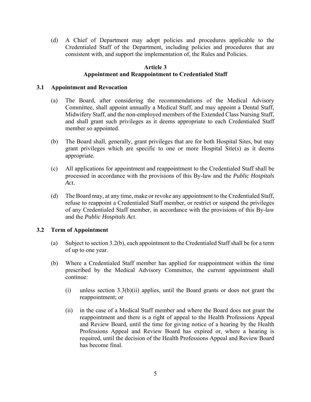(d) A Chief of Department may adopt policies and procedures applicable to the Credentialed Staff of the Department, including policies and procedures that are consistent with, and support the implementation of, the Rules and Policies.

#### **Article 3**

#### **Appointment and Reappointment to Credentialed Staff**

#### **3.1 Appointment and Revocation**

- (a) The Board, after considering the recommendations of the Medical Advisory Committee, shall appoint annually a Medical Staff, and may appoint a Dental Staff, Midwifery Staff, and the non-employed members of the Extended Class Nursing Staff, and shall grant such privileges as it deems appropriate to each Credentialed Staff member so appointed.
- (b) The Board shall, generally, grant privileges that are for both Hospital Sites, but may grant privileges which are specific to one or more Hospital Site(s) as it deems appropriate.
- (c) All applications for appointment and reappointment to the Credentialed Staff shall be processed in accordance with the provisions of this By-law and the *Public Hospitals Act*.
- (d) The Board may, at any time, make or revoke any appointment to the Credentialed Staff, refuse to reappoint a Credentialed Staff member, or restrict or suspend the privileges of any Credentialed Staff member, in accordance with the provisions of this By-law and the *Public Hospitals Act*.

#### **3.2 Term of Appointment**

- (a) Subject to section 3.2(b), each appointment to the Credentialed Staff shall be for a term of up to one year.
- (b) Where a Credentialed Staff member has applied for reappointment within the time prescribed by the Medical Advisory Committee, the current appointment shall continue:
	- (i) unless section 3.3(b)(ii) applies, until the Board grants or does not grant the reappointment; or
	- (ii) in the case of a Medical Staff member and where the Board does not grant the reappointment and there is a right of appeal to the Health Professions Appeal and Review Board, until the time for giving notice of a hearing by the Health Professions Appeal and Review Board has expired or, where a hearing is required, until the decision of the Health Professions Appeal and Review Board has become final.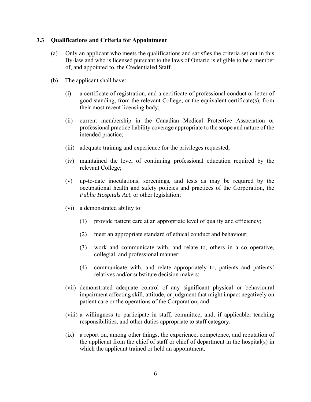#### **3.3 Qualifications and Criteria for Appointment**

- (a) Only an applicant who meets the qualifications and satisfies the criteria set out in this By-law and who is licensed pursuant to the laws of Ontario is eligible to be a member of, and appointed to, the Credentialed Staff.
- (b) The applicant shall have:
	- (i) a certificate of registration, and a certificate of professional conduct or letter of good standing, from the relevant College, or the equivalent certificate(s), from their most recent licensing body;
	- (ii) current membership in the Canadian Medical Protective Association or professional practice liability coverage appropriate to the scope and nature of the intended practice;
	- (iii) adequate training and experience for the privileges requested;
	- (iv) maintained the level of continuing professional education required by the relevant College;
	- (v) up-to-date inoculations, screenings, and tests as may be required by the occupational health and safety policies and practices of the Corporation, the *Public Hospitals Act*, or other legislation;
	- (vi) a demonstrated ability to:
		- (1) provide patient care at an appropriate level of quality and efficiency;
		- (2) meet an appropriate standard of ethical conduct and behaviour;
		- (3) work and communicate with, and relate to, others in a co–operative, collegial, and professional manner;
		- (4) communicate with, and relate appropriately to, patients and patients' relatives and/or substitute decision makers;
	- (vii) demonstrated adequate control of any significant physical or behavioural impairment affecting skill, attitude, or judgment that might impact negatively on patient care or the operations of the Corporation; and
	- (viii) a willingness to participate in staff, committee, and, if applicable, teaching responsibilities, and other duties appropriate to staff category.
	- (ix) a report on, among other things, the experience, competence, and reputation of the applicant from the chief of staff or chief of department in the hospital(s) in which the applicant trained or held an appointment.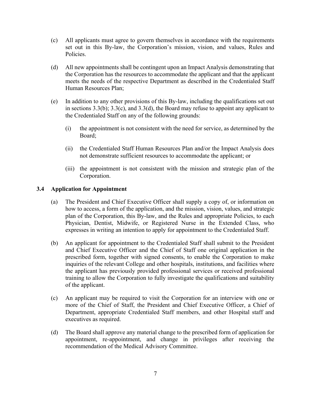- (c) All applicants must agree to govern themselves in accordance with the requirements set out in this By-law, the Corporation's mission, vision, and values, Rules and Policies.
- (d) All new appointments shall be contingent upon an Impact Analysis demonstrating that the Corporation has the resources to accommodate the applicant and that the applicant meets the needs of the respective Department as described in the Credentialed Staff Human Resources Plan;
- (e) In addition to any other provisions of this By-law, including the qualifications set out in sections 3.3(b); 3.3(c), and 3.3(d), the Board may refuse to appoint any applicant to the Credentialed Staff on any of the following grounds:
	- (i) the appointment is not consistent with the need for service, as determined by the Board;
	- (ii) the Credentialed Staff Human Resources Plan and/or the Impact Analysis does not demonstrate sufficient resources to accommodate the applicant; or
	- (iii) the appointment is not consistent with the mission and strategic plan of the Corporation.

### **3.4 Application for Appointment**

- (a) The President and Chief Executive Officer shall supply a copy of, or information on how to access, a form of the application, and the mission, vision, values, and strategic plan of the Corporation, this By-law, and the Rules and appropriate Policies, to each Physician, Dentist, Midwife, or Registered Nurse in the Extended Class, who expresses in writing an intention to apply for appointment to the Credentialed Staff.
- (b) An applicant for appointment to the Credentialed Staff shall submit to the President and Chief Executive Officer and the Chief of Staff one original application in the prescribed form, together with signed consents, to enable the Corporation to make inquiries of the relevant College and other hospitals, institutions, and facilities where the applicant has previously provided professional services or received professional training to allow the Corporation to fully investigate the qualifications and suitability of the applicant.
- (c) An applicant may be required to visit the Corporation for an interview with one or more of the Chief of Staff, the President and Chief Executive Officer, a Chief of Department, appropriate Credentialed Staff members, and other Hospital staff and executives as required.
- (d) The Board shall approve any material change to the prescribed form of application for appointment, re-appointment, and change in privileges after receiving the recommendation of the Medical Advisory Committee.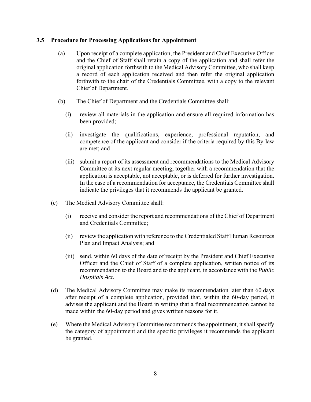#### **3.5 Procedure for Processing Applications for Appointment**

- (a) Upon receipt of a complete application, the President and Chief Executive Officer and the Chief of Staff shall retain a copy of the application and shall refer the original application forthwith to the Medical Advisory Committee, who shall keep a record of each application received and then refer the original application forthwith to the chair of the Credentials Committee, with a copy to the relevant Chief of Department.
- (b) The Chief of Department and the Credentials Committee shall:
	- (i) review all materials in the application and ensure all required information has been provided;
	- (ii) investigate the qualifications, experience, professional reputation, and competence of the applicant and consider if the criteria required by this By-law are met; and
	- (iii) submit a report of its assessment and recommendations to the Medical Advisory Committee at its next regular meeting, together with a recommendation that the application is acceptable, not acceptable, or is deferred for further investigation. In the case of a recommendation for acceptance, the Credentials Committee shall indicate the privileges that it recommends the applicant be granted.
- (c) The Medical Advisory Committee shall:
	- (i) receive and consider the report and recommendations of the Chief of Department and Credentials Committee;
	- (ii) review the application with reference to the Credentialed Staff Human Resources Plan and Impact Analysis; and
	- (iii) send, within 60 days of the date of receipt by the President and Chief Executive Officer and the Chief of Staff of a complete application, written notice of its recommendation to the Board and to the applicant, in accordance with the *Public Hospitals Act*.
- (d) The Medical Advisory Committee may make its recommendation later than 60 days after receipt of a complete application, provided that, within the 60-day period, it advises the applicant and the Board in writing that a final recommendation cannot be made within the 60-day period and gives written reasons for it.
- (e) Where the Medical Advisory Committee recommends the appointment, it shall specify the category of appointment and the specific privileges it recommends the applicant be granted.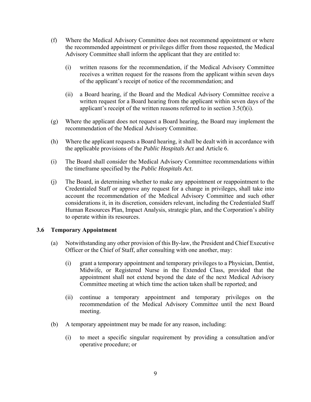- (f) Where the Medical Advisory Committee does not recommend appointment or where the recommended appointment or privileges differ from those requested, the Medical Advisory Committee shall inform the applicant that they are entitled to:
	- (i) written reasons for the recommendation, if the Medical Advisory Committee receives a written request for the reasons from the applicant within seven days of the applicant's receipt of notice of the recommendation; and
	- (ii) a Board hearing, if the Board and the Medical Advisory Committee receive a written request for a Board hearing from the applicant within seven days of the applicant's receipt of the written reasons referred to in section  $3.5(f)(i)$ .
- (g) Where the applicant does not request a Board hearing, the Board may implement the recommendation of the Medical Advisory Committee.
- (h) Where the applicant requests a Board hearing, it shall be dealt with in accordance with the applicable provisions of the *Public Hospitals Act* and Article 6.
- (i) The Board shall consider the Medical Advisory Committee recommendations within the timeframe specified by the *Public Hospitals Act*.
- (j) The Board, in determining whether to make any appointment or reappointment to the Credentialed Staff or approve any request for a change in privileges, shall take into account the recommendation of the Medical Advisory Committee and such other considerations it, in its discretion, considers relevant, including the Credentialed Staff Human Resources Plan, Impact Analysis, strategic plan, and the Corporation's ability to operate within its resources.

#### **3.6 Temporary Appointment**

- (a) Notwithstanding any other provision of this By-law, the President and Chief Executive Officer or the Chief of Staff, after consulting with one another, may:
	- (i) grant a temporary appointment and temporary privileges to a Physician, Dentist, Midwife, or Registered Nurse in the Extended Class, provided that the appointment shall not extend beyond the date of the next Medical Advisory Committee meeting at which time the action taken shall be reported; and
	- (ii) continue a temporary appointment and temporary privileges on the recommendation of the Medical Advisory Committee until the next Board meeting.
- (b) A temporary appointment may be made for any reason, including:
	- (i) to meet a specific singular requirement by providing a consultation and/or operative procedure; or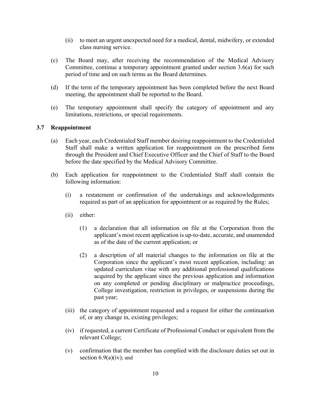- (ii) to meet an urgent unexpected need for a medical, dental, midwifery, or extended class nursing service.
- (c) The Board may, after receiving the recommendation of the Medical Advisory Committee, continue a temporary appointment granted under section 3.6(a) for such period of time and on such terms as the Board determines.
- (d) If the term of the temporary appointment has been completed before the next Board meeting, the appointment shall be reported to the Board.
- (e) The temporary appointment shall specify the category of appointment and any limitations, restrictions, or special requirements.

#### **3.7 Reappointment**

- (a) Each year, each Credentialed Staff member desiring reappointment to the Credentialed Staff shall make a written application for reappointment on the prescribed form through the President and Chief Executive Officer and the Chief of Staff to the Board before the date specified by the Medical Advisory Committee.
- (b) Each application for reappointment to the Credentialed Staff shall contain the following information:
	- (i) a restatement or confirmation of the undertakings and acknowledgements required as part of an application for appointment or as required by the Rules;
	- (ii) either:
		- (1) a declaration that all information on file at the Corporation from the applicant's most recent application is up-to-date, accurate, and unamended as of the date of the current application; or
		- (2) a description of all material changes to the information on file at the Corporation since the applicant's most recent application, including: an updated curriculum vitae with any additional professional qualifications acquired by the applicant since the previous application and information on any completed or pending disciplinary or malpractice proceedings, College investigation, restriction in privileges, or suspensions during the past year;
	- (iii) the category of appointment requested and a request for either the continuation of, or any change in, existing privileges;
	- (iv) if requested, a current Certificate of Professional Conduct or equivalent from the relevant College;
	- (v) confirmation that the member has complied with the disclosure duties set out in section  $6.9(a)(iv)$ ; and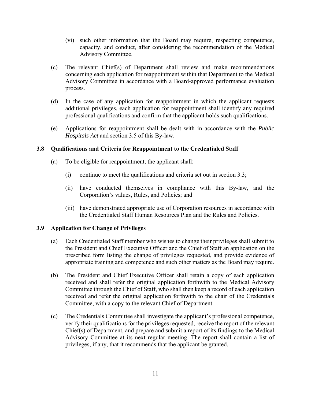- (vi) such other information that the Board may require, respecting competence, capacity, and conduct, after considering the recommendation of the Medical Advisory Committee.
- (c) The relevant Chief(s) of Department shall review and make recommendations concerning each application for reappointment within that Department to the Medical Advisory Committee in accordance with a Board-approved performance evaluation process.
- (d) In the case of any application for reappointment in which the applicant requests additional privileges, each application for reappointment shall identify any required professional qualifications and confirm that the applicant holds such qualifications.
- (e) Applications for reappointment shall be dealt with in accordance with the *Public Hospitals Act* and section 3.5 of this By-law.

### **3.8 Qualifications and Criteria for Reappointment to the Credentialed Staff**

- (a) To be eligible for reappointment, the applicant shall:
	- (i) continue to meet the qualifications and criteria set out in section 3.3;
	- (ii) have conducted themselves in compliance with this By-law, and the Corporation's values, Rules, and Policies; and
	- (iii) have demonstrated appropriate use of Corporation resources in accordance with the Credentialed Staff Human Resources Plan and the Rules and Policies.

#### **3.9 Application for Change of Privileges**

- (a) Each Credentialed Staff member who wishes to change their privileges shall submit to the President and Chief Executive Officer and the Chief of Staff an application on the prescribed form listing the change of privileges requested, and provide evidence of appropriate training and competence and such other matters as the Board may require.
- (b) The President and Chief Executive Officer shall retain a copy of each application received and shall refer the original application forthwith to the Medical Advisory Committee through the Chief of Staff, who shall then keep a record of each application received and refer the original application forthwith to the chair of the Credentials Committee, with a copy to the relevant Chief of Department.
- (c) The Credentials Committee shall investigate the applicant's professional competence, verify their qualifications for the privileges requested, receive the report of the relevant Chief(s) of Department, and prepare and submit a report of its findings to the Medical Advisory Committee at its next regular meeting. The report shall contain a list of privileges, if any, that it recommends that the applicant be granted.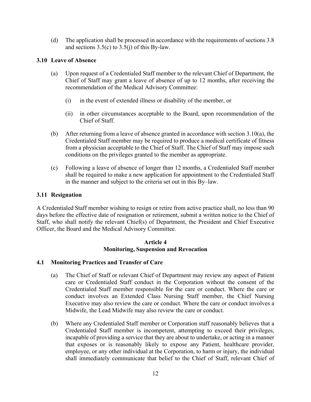(d) The application shall be processed in accordance with the requirements of sections 3.8 and sections  $3.5(c)$  to  $3.5(i)$  of this By-law.

# **3.10 Leave of Absence**

- (a) Upon request of a Credentialed Staff member to the relevant Chief of Department, the Chief of Staff may grant a leave of absence of up to 12 months, after receiving the recommendation of the Medical Advisory Committee:
	- (i) in the event of extended illness or disability of the member, or
	- (ii) in other circumstances acceptable to the Board, upon recommendation of the Chief of Staff.
- (b) After returning from a leave of absence granted in accordance with section 3.10(a), the Credentialed Staff member may be required to produce a medical certificate of fitness from a physician acceptable to the Chief of Staff. The Chief of Staff may impose such conditions on the privileges granted to the member as appropriate.
- (c) Following a leave of absence of longer than 12 months, a Credentialed Staff member shall be required to make a new application for appointment to the Credentialed Staff in the manner and subject to the criteria set out in this By–law.

#### **3.11 Resignation**

A Credentialed Staff member wishing to resign or retire from active practice shall, no less than 90 days before the effective date of resignation or retirement, submit a written notice to the Chief of Staff, who shall notify the relevant Chief(s) of Department, the President and Chief Executive Officer, the Board and the Medical Advisory Committee.

#### **Article 4 Monitoring, Suspension and Revocation**

# **4.1 Monitoring Practices and Transfer of Care**

- (a) The Chief of Staff or relevant Chief of Department may review any aspect of Patient care or Credentialed Staff conduct in the Corporation without the consent of the Credentialed Staff member responsible for the care or conduct. Where the care or conduct involves an Extended Class Nursing Staff member, the Chief Nursing Executive may also review the care or conduct. Where the care or conduct involves a Midwife, the Lead Midwife may also review the care or conduct.
- (b) Where any Credentialed Staff member or Corporation staff reasonably believes that a Credentialed Staff member is incompetent, attempting to exceed their privileges, incapable of providing a service that they are about to undertake, or acting in a manner that exposes or is reasonably likely to expose any Patient, healthcare provider, employee, or any other individual at the Corporation, to harm or injury, the individual shall immediately communicate that belief to the Chief of Staff, relevant Chief of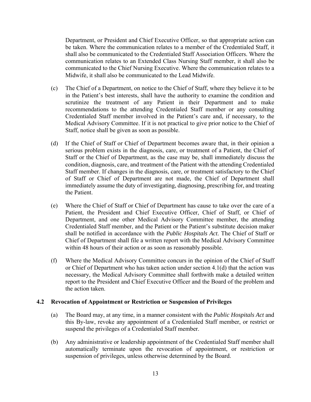Department, or President and Chief Executive Officer, so that appropriate action can be taken. Where the communication relates to a member of the Credentialed Staff, it shall also be communicated to the Credentialed Staff Association Officers. Where the communication relates to an Extended Class Nursing Staff member, it shall also be communicated to the Chief Nursing Executive. Where the communication relates to a Midwife, it shall also be communicated to the Lead Midwife.

- (c) The Chief of a Department, on notice to the Chief of Staff, where they believe it to be in the Patient's best interests, shall have the authority to examine the condition and scrutinize the treatment of any Patient in their Department and to make recommendations to the attending Credentialed Staff member or any consulting Credentialed Staff member involved in the Patient's care and, if necessary, to the Medical Advisory Committee. If it is not practical to give prior notice to the Chief of Staff, notice shall be given as soon as possible.
- (d) If the Chief of Staff or Chief of Department becomes aware that, in their opinion a serious problem exists in the diagnosis, care, or treatment of a Patient, the Chief of Staff or the Chief of Department, as the case may be, shall immediately discuss the condition, diagnosis, care, and treatment of the Patient with the attending Credentialed Staff member. If changes in the diagnosis, care, or treatment satisfactory to the Chief of Staff or Chief of Department are not made, the Chief of Department shall immediately assume the duty of investigating, diagnosing, prescribing for, and treating the Patient.
- (e) Where the Chief of Staff or Chief of Department has cause to take over the care of a Patient, the President and Chief Executive Officer, Chief of Staff, or Chief of Department, and one other Medical Advisory Committee member, the attending Credentialed Staff member, and the Patient or the Patient's substitute decision maker shall be notified in accordance with the *Public Hospitals Act*. The Chief of Staff or Chief of Department shall file a written report with the Medical Advisory Committee within 48 hours of their action or as soon as reasonably possible.
- (f) Where the Medical Advisory Committee concurs in the opinion of the Chief of Staff or Chief of Department who has taken action under section 4.1(d) that the action was necessary, the Medical Advisory Committee shall forthwith make a detailed written report to the President and Chief Executive Officer and the Board of the problem and the action taken.

#### **4.2 Revocation of Appointment or Restriction or Suspension of Privileges**

- (a) The Board may, at any time, in a manner consistent with the *Public Hospitals Act* and this By-law, revoke any appointment of a Credentialed Staff member, or restrict or suspend the privileges of a Credentialed Staff member.
- (b) Any administrative or leadership appointment of the Credentialed Staff member shall automatically terminate upon the revocation of appointment, or restriction or suspension of privileges, unless otherwise determined by the Board.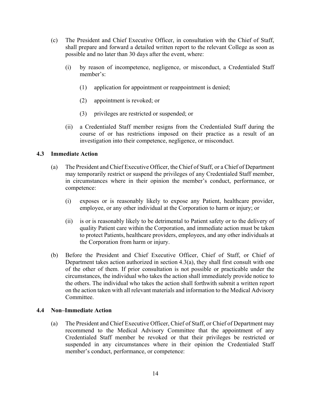- (c) The President and Chief Executive Officer, in consultation with the Chief of Staff, shall prepare and forward a detailed written report to the relevant College as soon as possible and no later than 30 days after the event, where:
	- (i) by reason of incompetence, negligence, or misconduct, a Credentialed Staff member's:
		- (1) application for appointment or reappointment is denied;
		- (2) appointment is revoked; or
		- (3) privileges are restricted or suspended; or
	- (ii) a Credentialed Staff member resigns from the Credentialed Staff during the course of or has restrictions imposed on their practice as a result of an investigation into their competence, negligence, or misconduct.

#### **4.3 Immediate Action**

- (a) The President and Chief Executive Officer, the Chief of Staff, or a Chief of Department may temporarily restrict or suspend the privileges of any Credentialed Staff member, in circumstances where in their opinion the member's conduct, performance, or competence:
	- (i) exposes or is reasonably likely to expose any Patient, healthcare provider, employee, or any other individual at the Corporation to harm or injury; or
	- (ii) is or is reasonably likely to be detrimental to Patient safety or to the delivery of quality Patient care within the Corporation, and immediate action must be taken to protect Patients, healthcare providers, employees, and any other individuals at the Corporation from harm or injury.
- (b) Before the President and Chief Executive Officer, Chief of Staff, or Chief of Department takes action authorized in section 4.3(a), they shall first consult with one of the other of them. If prior consultation is not possible or practicable under the circumstances, the individual who takes the action shall immediately provide notice to the others. The individual who takes the action shall forthwith submit a written report on the action taken with all relevant materials and information to the Medical Advisory Committee.

#### **4.4 Non–Immediate Action**

(a) The President and Chief Executive Officer, Chief of Staff, or Chief of Department may recommend to the Medical Advisory Committee that the appointment of any Credentialed Staff member be revoked or that their privileges be restricted or suspended in any circumstances where in their opinion the Credentialed Staff member's conduct, performance, or competence: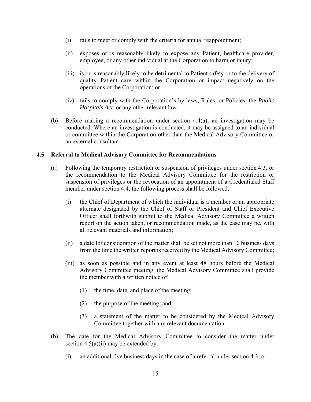- (i) fails to meet or comply with the criteria for annual reappointment;
- (ii) exposes or is reasonably likely to expose any Patient, healthcare provider, employee, or any other individual at the Corporation to harm or injury;
- (iii) is or is reasonably likely to be detrimental to Patient safety or to the delivery of quality Patient care within the Corporation or impact negatively on the operations of the Corporation; or
- (iv) fails to comply with the Corporation's by-laws, Rules, or Policies, the *Public Hospitals Act*, or any other relevant law.
- (b) Before making a recommendation under section 4.4(a), an investigation may be conducted. Where an investigation is conducted, it may be assigned to an individual or committee within the Corporation other than the Medical Advisory Committee or an external consultant.

#### **4.5 Referral to Medical Advisory Committee for Recommendations**

- (a) Following the temporary restriction or suspension of privileges under section 4.3, or the recommendation to the Medical Advisory Committee for the restriction or suspension of privileges or the revocation of an appointment of a Credentialed Staff member under section 4.4, the following process shall be followed:
	- (i) the Chief of Department of which the individual is a member or an appropriate alternate designated by the Chief of Staff or President and Chief Executive Officer shall forthwith submit to the Medical Advisory Committee a written report on the action taken, or recommendation made, as the case may be, with all relevant materials and information;
	- (ii) a date for consideration of the matter shall be set not more than 10 business days from the time the written report is received by the Medical Advisory Committee;
	- (iii) as soon as possible and in any event at least 48 hours before the Medical Advisory Committee meeting, the Medical Advisory Committee shall provide the member with a written notice of:
		- (1) the time, date, and place of the meeting;
		- (2) the purpose of the meeting; and
		- (3) a statement of the matter to be considered by the Medical Advisory Committee together with any relevant documentation.
- (b) The date for the Medical Advisory Committee to consider the matter under section  $4.5(a)(ii)$  may be extended by:
	- (i) an additional five business days in the case of a referral under section 4.3; or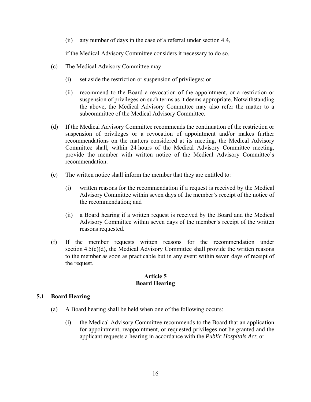(ii) any number of days in the case of a referral under section 4.4,

if the Medical Advisory Committee considers it necessary to do so.

- (c) The Medical Advisory Committee may:
	- (i) set aside the restriction or suspension of privileges; or
	- (ii) recommend to the Board a revocation of the appointment, or a restriction or suspension of privileges on such terms as it deems appropriate. Notwithstanding the above, the Medical Advisory Committee may also refer the matter to a subcommittee of the Medical Advisory Committee.
- (d) If the Medical Advisory Committee recommends the continuation of the restriction or suspension of privileges or a revocation of appointment and/or makes further recommendations on the matters considered at its meeting, the Medical Advisory Committee shall, within 24 hours of the Medical Advisory Committee meeting, provide the member with written notice of the Medical Advisory Committee's recommendation.
- (e) The written notice shall inform the member that they are entitled to:
	- (i) written reasons for the recommendation if a request is received by the Medical Advisory Committee within seven days of the member's receipt of the notice of the recommendation; and
	- (ii) a Board hearing if a written request is received by the Board and the Medical Advisory Committee within seven days of the member's receipt of the written reasons requested.
- (f) If the member requests written reasons for the recommendation under section  $4.5(e)(d)$ , the Medical Advisory Committee shall provide the written reasons to the member as soon as practicable but in any event within seven days of receipt of the request.

#### **Article 5 Board Hearing**

#### **5.1 Board Hearing**

- (a) A Board hearing shall be held when one of the following occurs:
	- (i) the Medical Advisory Committee recommends to the Board that an application for appointment, reappointment, or requested privileges not be granted and the applicant requests a hearing in accordance with the *Public Hospitals Act*; or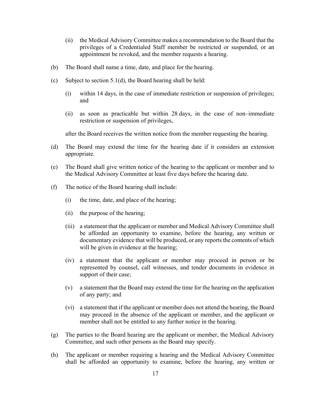- (ii) the Medical Advisory Committee makes a recommendation to the Board that the privileges of a Credentialed Staff member be restricted or suspended, or an appointment be revoked, and the member requests a hearing.
- (b) The Board shall name a time, date, and place for the hearing.
- (c) Subject to section 5.1(d), the Board hearing shall be held:
	- (i) within 14 days, in the case of immediate restriction or suspension of privileges; and
	- (ii) as soon as practicable but within 28 days, in the case of non–immediate restriction or suspension of privileges,

after the Board receives the written notice from the member requesting the hearing.

- (d) The Board may extend the time for the hearing date if it considers an extension appropriate.
- (e) The Board shall give written notice of the hearing to the applicant or member and to the Medical Advisory Committee at least five days before the hearing date.
- (f) The notice of the Board hearing shall include:
	- (i) the time, date, and place of the hearing;
	- (ii) the purpose of the hearing;
	- (iii) a statement that the applicant or member and Medical Advisory Committee shall be afforded an opportunity to examine, before the hearing, any written or documentary evidence that will be produced, or any reports the contents of which will be given in evidence at the hearing;
	- (iv) a statement that the applicant or member may proceed in person or be represented by counsel, call witnesses, and tender documents in evidence in support of their case;
	- (v) a statement that the Board may extend the time for the hearing on the application of any party; and
	- (vi) a statement that if the applicant or member does not attend the hearing, the Board may proceed in the absence of the applicant or member, and the applicant or member shall not be entitled to any further notice in the hearing.
- (g) The parties to the Board hearing are the applicant or member, the Medical Advisory Committee, and such other persons as the Board may specify.
- (h) The applicant or member requiring a hearing and the Medical Advisory Committee shall be afforded an opportunity to examine, before the hearing, any written or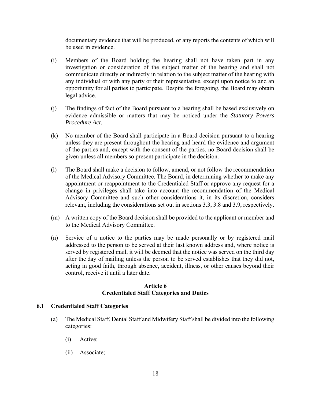documentary evidence that will be produced, or any reports the contents of which will be used in evidence.

- (i) Members of the Board holding the hearing shall not have taken part in any investigation or consideration of the subject matter of the hearing and shall not communicate directly or indirectly in relation to the subject matter of the hearing with any individual or with any party or their representative, except upon notice to and an opportunity for all parties to participate. Despite the foregoing, the Board may obtain legal advice.
- (j) The findings of fact of the Board pursuant to a hearing shall be based exclusively on evidence admissible or matters that may be noticed under the *Statutory Powers Procedure Act*.
- (k) No member of the Board shall participate in a Board decision pursuant to a hearing unless they are present throughout the hearing and heard the evidence and argument of the parties and, except with the consent of the parties, no Board decision shall be given unless all members so present participate in the decision.
- (l) The Board shall make a decision to follow, amend, or not follow the recommendation of the Medical Advisory Committee. The Board, in determining whether to make any appointment or reappointment to the Credentialed Staff or approve any request for a change in privileges shall take into account the recommendation of the Medical Advisory Committee and such other considerations it, in its discretion, considers relevant, including the considerations set out in sections 3.3, 3.8 and 3.9, respectively.
- (m) A written copy of the Board decision shall be provided to the applicant or member and to the Medical Advisory Committee.
- (n) Service of a notice to the parties may be made personally or by registered mail addressed to the person to be served at their last known address and, where notice is served by registered mail, it will be deemed that the notice was served on the third day after the day of mailing unless the person to be served establishes that they did not, acting in good faith, through absence, accident, illness, or other causes beyond their control, receive it until a later date.

### **Article 6 Credentialed Staff Categories and Duties**

#### **6.1 Credentialed Staff Categories**

- (a) The Medical Staff, Dental Staff and Midwifery Staff shall be divided into the following categories:
	- (i) Active;
	- (ii) Associate;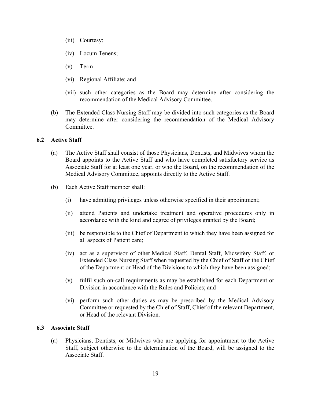- (iii) Courtesy;
- (iv) Locum Tenens;
- (v) Term
- (vi) Regional Affiliate; and
- (vii) such other categories as the Board may determine after considering the recommendation of the Medical Advisory Committee.
- (b) The Extended Class Nursing Staff may be divided into such categories as the Board may determine after considering the recommendation of the Medical Advisory Committee.

#### **6.2 Active Staff**

- (a) The Active Staff shall consist of those Physicians, Dentists, and Midwives whom the Board appoints to the Active Staff and who have completed satisfactory service as Associate Staff for at least one year, or who the Board, on the recommendation of the Medical Advisory Committee, appoints directly to the Active Staff.
- (b) Each Active Staff member shall:
	- (i) have admitting privileges unless otherwise specified in their appointment;
	- (ii) attend Patients and undertake treatment and operative procedures only in accordance with the kind and degree of privileges granted by the Board;
	- (iii) be responsible to the Chief of Department to which they have been assigned for all aspects of Patient care;
	- (iv) act as a supervisor of other Medical Staff, Dental Staff, Midwifery Staff, or Extended Class Nursing Staff when requested by the Chief of Staff or the Chief of the Department or Head of the Divisions to which they have been assigned;
	- (v) fulfil such on-call requirements as may be established for each Department or Division in accordance with the Rules and Policies; and
	- (vi) perform such other duties as may be prescribed by the Medical Advisory Committee or requested by the Chief of Staff, Chief of the relevant Department, or Head of the relevant Division.

#### **6.3 Associate Staff**

(a) Physicians, Dentists, or Midwives who are applying for appointment to the Active Staff, subject otherwise to the determination of the Board, will be assigned to the Associate Staff.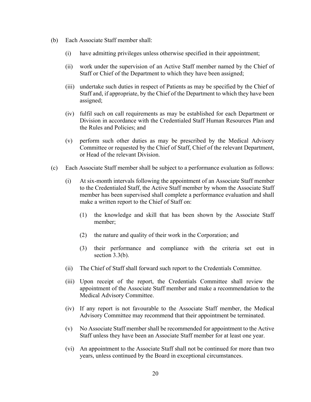- (b) Each Associate Staff member shall:
	- (i) have admitting privileges unless otherwise specified in their appointment;
	- (ii) work under the supervision of an Active Staff member named by the Chief of Staff or Chief of the Department to which they have been assigned;
	- (iii) undertake such duties in respect of Patients as may be specified by the Chief of Staff and, if appropriate, by the Chief of the Department to which they have been assigned;
	- (iv) fulfil such on call requirements as may be established for each Department or Division in accordance with the Credentialed Staff Human Resources Plan and the Rules and Policies; and
	- (v) perform such other duties as may be prescribed by the Medical Advisory Committee or requested by the Chief of Staff, Chief of the relevant Department, or Head of the relevant Division.
- (c) Each Associate Staff member shall be subject to a performance evaluation as follows:
	- (i) At six-month intervals following the appointment of an Associate Staff member to the Credentialed Staff, the Active Staff member by whom the Associate Staff member has been supervised shall complete a performance evaluation and shall make a written report to the Chief of Staff on:
		- (1) the knowledge and skill that has been shown by the Associate Staff member;
		- (2) the nature and quality of their work in the Corporation; and
		- (3) their performance and compliance with the criteria set out in section 3.3(b).
	- (ii) The Chief of Staff shall forward such report to the Credentials Committee.
	- (iii) Upon receipt of the report, the Credentials Committee shall review the appointment of the Associate Staff member and make a recommendation to the Medical Advisory Committee.
	- (iv) If any report is not favourable to the Associate Staff member, the Medical Advisory Committee may recommend that their appointment be terminated.
	- (v) No Associate Staff member shall be recommended for appointment to the Active Staff unless they have been an Associate Staff member for at least one year.
	- (vi) An appointment to the Associate Staff shall not be continued for more than two years, unless continued by the Board in exceptional circumstances.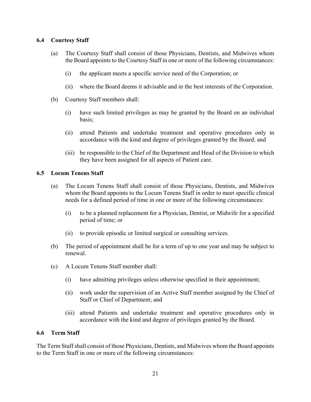#### **6.4 Courtesy Staff**

- (a) The Courtesy Staff shall consist of those Physicians, Dentists, and Midwives whom the Board appoints to the Courtesy Staff in one or more of the following circumstances:
	- (i) the applicant meets a specific service need of the Corporation; or
	- (ii) where the Board deems it advisable and in the best interests of the Corporation.
- (b) Courtesy Staff members shall:
	- (i) have such limited privileges as may be granted by the Board on an individual basis;
	- (ii) attend Patients and undertake treatment and operative procedures only in accordance with the kind and degree of privileges granted by the Board; and
	- (iii) be responsible to the Chief of the Department and Head of the Division to which they have been assigned for all aspects of Patient care.

### **6.5 Locum Tenens Staff**

- (a) The Locum Tenens Staff shall consist of those Physicians, Dentists, and Midwives whom the Board appoints to the Locum Tenens Staff in order to meet specific clinical needs for a defined period of time in one or more of the following circumstances:
	- (i) to be a planned replacement for a Physician, Dentist, or Midwife for a specified period of time; or
	- (ii) to provide episodic or limited surgical or consulting services.
- (b) The period of appointment shall be for a term of up to one year and may be subject to renewal.
- (c) A Locum Tenens Staff member shall:
	- (i) have admitting privileges unless otherwise specified in their appointment;
	- (ii) work under the supervision of an Active Staff member assigned by the Chief of Staff or Chief of Department; and
	- (iii) attend Patients and undertake treatment and operative procedures only in accordance with the kind and degree of privileges granted by the Board.

#### **6.6 Term Staff**

The Term Staff shall consist of those Physicians, Dentists, and Midwives whom the Board appoints to the Term Staff in one or more of the following circumstances: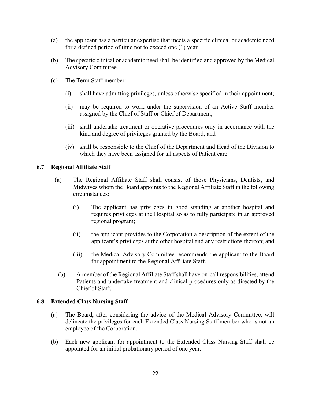- (a) the applicant has a particular expertise that meets a specific clinical or academic need for a defined period of time not to exceed one (1) year.
- (b) The specific clinical or academic need shall be identified and approved by the Medical Advisory Committee.
- (c) The Term Staff member:
	- (i) shall have admitting privileges, unless otherwise specified in their appointment;
	- (ii) may be required to work under the supervision of an Active Staff member assigned by the Chief of Staff or Chief of Department;
	- (iii) shall undertake treatment or operative procedures only in accordance with the kind and degree of privileges granted by the Board; and
	- (iv) shall be responsible to the Chief of the Department and Head of the Division to which they have been assigned for all aspects of Patient care.

#### **6.7 Regional Affiliate Staff**

- (a) The Regional Affiliate Staff shall consist of those Physicians, Dentists, and Midwives whom the Board appoints to the Regional Affiliate Staff in the following circumstances:
	- (i) The applicant has privileges in good standing at another hospital and requires privileges at the Hospital so as to fully participate in an approved regional program;
	- (ii) the applicant provides to the Corporation a description of the extent of the applicant's privileges at the other hospital and any restrictions thereon; and
	- (iii) the Medical Advisory Committee recommends the applicant to the Board for appointment to the Regional Affiliate Staff.
	- (b) A member of the Regional Affiliate Staff shall have on-call responsibilities, attend Patients and undertake treatment and clinical procedures only as directed by the Chief of Staff.

#### **6.8 Extended Class Nursing Staff**

- (a) The Board, after considering the advice of the Medical Advisory Committee, will delineate the privileges for each Extended Class Nursing Staff member who is not an employee of the Corporation.
- (b) Each new applicant for appointment to the Extended Class Nursing Staff shall be appointed for an initial probationary period of one year.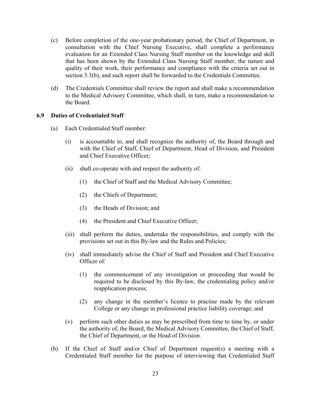- (c) Before completion of the one-year probationary period, the Chief of Department, in consultation with the Chief Nursing Executive, shall complete a performance evaluation for an Extended Class Nursing Staff member on the knowledge and skill that has been shown by the Extended Class Nursing Staff member, the nature and quality of their work, their performance and compliance with the criteria set out in section 3.3(b), and such report shall be forwarded to the Credentials Committee.
- (d) The Credentials Committee shall review the report and shall make a recommendation to the Medical Advisory Committee, which shall, in turn, make a recommendation to the Board.

#### **6.9 Duties of Credentialed Staff**

- (a) Each Credentialed Staff member:
	- (i) is accountable to, and shall recognize the authority of, the Board through and with the Chief of Staff, Chief of Department, Head of Division, and President and Chief Executive Officer;
	- (ii) shall co-operate with and respect the authority of:
		- (1) the Chief of Staff and the Medical Advisory Committee;
		- (2) the Chiefs of Department;
		- (3) the Heads of Division; and
		- (4) the President and Chief Executive Officer;
	- (iii) shall perform the duties, undertake the responsibilities, and comply with the provisions set out in this By-law and the Rules and Policies;
	- (iv) shall immediately advise the Chief of Staff and President and Chief Executive Officer of:
		- (1) the commencement of any investigation or proceeding that would be required to be disclosed by this By-law, the credentialing policy and/or reapplication process;
		- (2) any change in the member's licence to practise made by the relevant College or any change in professional practice liability coverage; and
	- (v) perform such other duties as may be prescribed from time to time by, or under the authority of, the Board, the Medical Advisory Committee, the Chief of Staff, the Chief of Department, or the Head of Division.
- (b) If the Chief of Staff and/or Chief of Department request(s) a meeting with a Credentialed Staff member for the purpose of interviewing that Credentialed Staff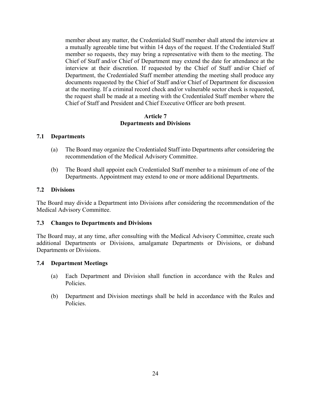member about any matter, the Credentialed Staff member shall attend the interview at a mutually agreeable time but within 14 days of the request. If the Credentialed Staff member so requests, they may bring a representative with them to the meeting. The Chief of Staff and/or Chief of Department may extend the date for attendance at the interview at their discretion. If requested by the Chief of Staff and/or Chief of Department, the Credentialed Staff member attending the meeting shall produce any documents requested by the Chief of Staff and/or Chief of Department for discussion at the meeting. If a criminal record check and/or vulnerable sector check is requested, the request shall be made at a meeting with the Credentialed Staff member where the Chief of Staff and President and Chief Executive Officer are both present.

#### **Article 7 Departments and Divisions**

### **7.1 Departments**

- (a) The Board may organize the Credentialed Staff into Departments after considering the recommendation of the Medical Advisory Committee.
- (b) The Board shall appoint each Credentialed Staff member to a minimum of one of the Departments. Appointment may extend to one or more additional Departments.

### **7.2 Divisions**

The Board may divide a Department into Divisions after considering the recommendation of the Medical Advisory Committee.

#### **7.3 Changes to Departments and Divisions**

The Board may, at any time, after consulting with the Medical Advisory Committee, create such additional Departments or Divisions, amalgamate Departments or Divisions, or disband Departments or Divisions.

#### **7.4 Department Meetings**

- (a) Each Department and Division shall function in accordance with the Rules and Policies.
- (b) Department and Division meetings shall be held in accordance with the Rules and Policies.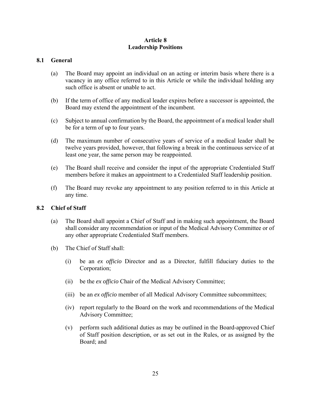#### **Article 8 Leadership Positions**

### **8.1 General**

- (a) The Board may appoint an individual on an acting or interim basis where there is a vacancy in any office referred to in this Article or while the individual holding any such office is absent or unable to act.
- (b) If the term of office of any medical leader expires before a successor is appointed, the Board may extend the appointment of the incumbent.
- (c) Subject to annual confirmation by the Board, the appointment of a medical leader shall be for a term of up to four years.
- (d) The maximum number of consecutive years of service of a medical leader shall be twelve years provided, however, that following a break in the continuous service of at least one year, the same person may be reappointed.
- (e) The Board shall receive and consider the input of the appropriate Credentialed Staff members before it makes an appointment to a Credentialed Staff leadership position.
- (f) The Board may revoke any appointment to any position referred to in this Article at any time.

#### **8.2 Chief of Staff**

- (a) The Board shall appoint a Chief of Staff and in making such appointment, the Board shall consider any recommendation or input of the Medical Advisory Committee or of any other appropriate Credentialed Staff members.
- (b) The Chief of Staff shall:
	- (i) be an *ex officio* Director and as a Director, fulfill fiduciary duties to the Corporation;
	- (ii) be the *ex officio* Chair of the Medical Advisory Committee;
	- (iii) be an *ex officio* member of all Medical Advisory Committee subcommittees;
	- (iv) report regularly to the Board on the work and recommendations of the Medical Advisory Committee;
	- (v) perform such additional duties as may be outlined in the Board-approved Chief of Staff position description, or as set out in the Rules, or as assigned by the Board; and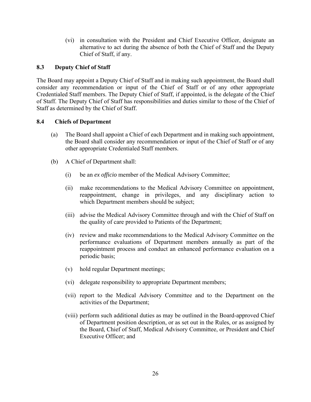(vi) in consultation with the President and Chief Executive Officer, designate an alternative to act during the absence of both the Chief of Staff and the Deputy Chief of Staff, if any.

# **8.3 Deputy Chief of Staff**

The Board may appoint a Deputy Chief of Staff and in making such appointment, the Board shall consider any recommendation or input of the Chief of Staff or of any other appropriate Credentialed Staff members. The Deputy Chief of Staff, if appointed, is the delegate of the Chief of Staff. The Deputy Chief of Staff has responsibilities and duties similar to those of the Chief of Staff as determined by the Chief of Staff.

#### **8.4 Chiefs of Department**

- (a) The Board shall appoint a Chief of each Department and in making such appointment, the Board shall consider any recommendation or input of the Chief of Staff or of any other appropriate Credentialed Staff members.
- (b) A Chief of Department shall:
	- (i) be an *ex officio* member of the Medical Advisory Committee;
	- (ii) make recommendations to the Medical Advisory Committee on appointment, reappointment, change in privileges, and any disciplinary action to which Department members should be subject;
	- (iii) advise the Medical Advisory Committee through and with the Chief of Staff on the quality of care provided to Patients of the Department;
	- (iv) review and make recommendations to the Medical Advisory Committee on the performance evaluations of Department members annually as part of the reappointment process and conduct an enhanced performance evaluation on a periodic basis;
	- (v) hold regular Department meetings;
	- (vi) delegate responsibility to appropriate Department members;
	- (vii) report to the Medical Advisory Committee and to the Department on the activities of the Department;
	- (viii) perform such additional duties as may be outlined in the Board-approved Chief of Department position description, or as set out in the Rules, or as assigned by the Board, Chief of Staff, Medical Advisory Committee, or President and Chief Executive Officer; and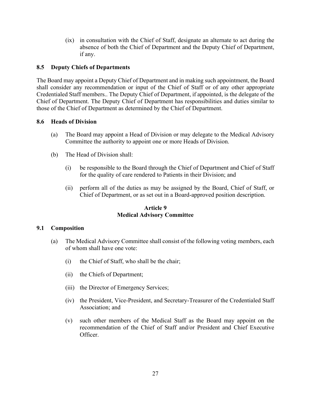(ix) in consultation with the Chief of Staff, designate an alternate to act during the absence of both the Chief of Department and the Deputy Chief of Department, if any.

### **8.5 Deputy Chiefs of Departments**

The Board may appoint a Deputy Chief of Department and in making such appointment, the Board shall consider any recommendation or input of the Chief of Staff or of any other appropriate Credentialed Staff members.. The Deputy Chief of Department, if appointed, is the delegate of the Chief of Department. The Deputy Chief of Department has responsibilities and duties similar to those of the Chief of Department as determined by the Chief of Department.

#### **8.6 Heads of Division**

- (a) The Board may appoint a Head of Division or may delegate to the Medical Advisory Committee the authority to appoint one or more Heads of Division.
- (b) The Head of Division shall:
	- (i) be responsible to the Board through the Chief of Department and Chief of Staff for the quality of care rendered to Patients in their Division; and
	- (ii) perform all of the duties as may be assigned by the Board, Chief of Staff, or Chief of Department, or as set out in a Board-approved position description.

### **Article 9 Medical Advisory Committee**

#### **9.1 Composition**

- (a) The Medical Advisory Committee shall consist of the following voting members, each of whom shall have one vote:
	- (i) the Chief of Staff, who shall be the chair;
	- (ii) the Chiefs of Department;
	- (iii) the Director of Emergency Services;
	- (iv) the President, Vice-President, and Secretary-Treasurer of the Credentialed Staff Association; and
	- (v) such other members of the Medical Staff as the Board may appoint on the recommendation of the Chief of Staff and/or President and Chief Executive Officer.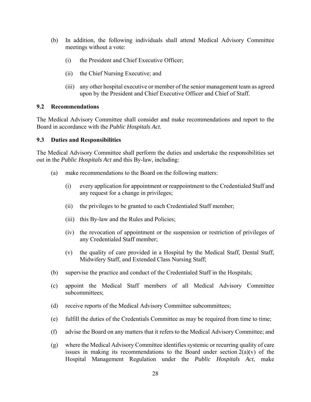- (b) In addition, the following individuals shall attend Medical Advisory Committee meetings without a vote:
	- (i) the President and Chief Executive Officer;
	- (ii) the Chief Nursing Executive; and
	- (iii) any other hospital executive or member of the senior management team as agreed upon by the President and Chief Executive Officer and Chief of Staff.

#### **9.2 Recommendations**

The Medical Advisory Committee shall consider and make recommendations and report to the Board in accordance with the *Public Hospitals Act.* 

#### **9.3 Duties and Responsibilities**

The Medical Advisory Committee shall perform the duties and undertake the responsibilities set out in the *Public Hospitals Act* and this By-law, including:

- (a) make recommendations to the Board on the following matters:
	- (i) every application for appointment or reappointment to the Credentialed Staff and any request for a change in privileges;
	- (ii) the privileges to be granted to each Credentialed Staff member;
	- (iii) this By-law and the Rules and Policies;
	- (iv) the revocation of appointment or the suspension or restriction of privileges of any Credentialed Staff member;
	- (v) the quality of care provided in a Hospital by the Medical Staff, Dental Staff, Midwifery Staff, and Extended Class Nursing Staff;
- (b) supervise the practice and conduct of the Credentialed Staff in the Hospitals;
- (c) appoint the Medical Staff members of all Medical Advisory Committee subcommittees;
- (d) receive reports of the Medical Advisory Committee subcommittees;
- (e) fulfill the duties of the Credentials Committee as may be required from time to time;
- (f) advise the Board on any matters that it refers to the Medical Advisory Committee; and
- (g) where the Medical Advisory Committee identifies systemic or recurring quality of care issues in making its recommendations to the Board under section  $2(a)(v)$  of the Hospital Management Regulation under the *Public Hospitals Act*, make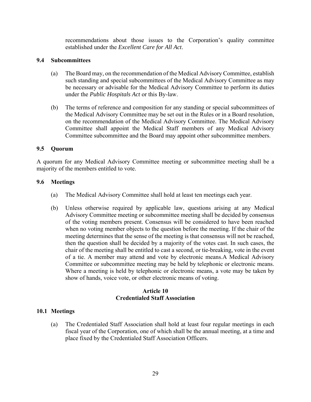recommendations about those issues to the Corporation's quality committee established under the *Excellent Care for All Act*.

#### **9.4 Subcommittees**

- (a) The Board may, on the recommendation of the Medical Advisory Committee, establish such standing and special subcommittees of the Medical Advisory Committee as may be necessary or advisable for the Medical Advisory Committee to perform its duties under the *Public Hospitals Act* or this By-law.
- (b) The terms of reference and composition for any standing or special subcommittees of the Medical Advisory Committee may be set out in the Rules or in a Board resolution, on the recommendation of the Medical Advisory Committee. The Medical Advisory Committee shall appoint the Medical Staff members of any Medical Advisory Committee subcommittee and the Board may appoint other subcommittee members.

#### **9.5 Quorum**

A quorum for any Medical Advisory Committee meeting or subcommittee meeting shall be a majority of the members entitled to vote.

#### **9.6 Meetings**

- (a) The Medical Advisory Committee shall hold at least ten meetings each year.
- (b) Unless otherwise required by applicable law, questions arising at any Medical Advisory Committee meeting or subcommittee meeting shall be decided by consensus of the voting members present. Consensus will be considered to have been reached when no voting member objects to the question before the meeting. If the chair of the meeting determines that the sense of the meeting is that consensus will not be reached, then the question shall be decided by a majority of the votes cast. In such cases, the chair of the meeting shall be entitled to cast a second, or tie-breaking, vote in the event of a tie. A member may attend and vote by electronic means.A Medical Advisory Committee or subcommittee meeting may be held by telephonic or electronic means. Where a meeting is held by telephonic or electronic means, a vote may be taken by show of hands, voice vote, or other electronic means of voting.

#### **Article 10 Credentialed Staff Association**

# **10.1 Meetings**

(a) The Credentialed Staff Association shall hold at least four regular meetings in each fiscal year of the Corporation, one of which shall be the annual meeting, at a time and place fixed by the Credentialed Staff Association Officers.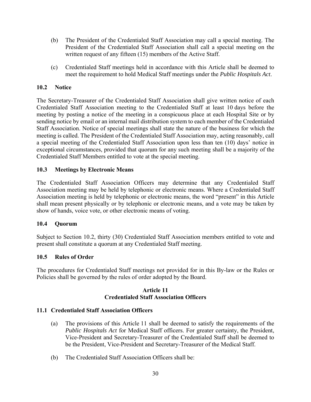- (b) The President of the Credentialed Staff Association may call a special meeting. The President of the Credentialed Staff Association shall call a special meeting on the written request of any fifteen (15) members of the Active Staff.
- (c) Credentialed Staff meetings held in accordance with this Article shall be deemed to meet the requirement to hold Medical Staff meetings under the *Public Hospitals Act*.

# **10.2 Notice**

The Secretary-Treasurer of the Credentialed Staff Association shall give written notice of each Credentialed Staff Association meeting to the Credentialed Staff at least 10 days before the meeting by posting a notice of the meeting in a conspicuous place at each Hospital Site or by sending notice by email or an internal mail distribution system to each member of the Credentialed Staff Association. Notice of special meetings shall state the nature of the business for which the meeting is called. The President of the Credentialed Staff Association may, acting reasonably, call a special meeting of the Credentialed Staff Association upon less than ten (10) days' notice in exceptional circumstances, provided that quorum for any such meeting shall be a majority of the Credentialed Staff Members entitled to vote at the special meeting.

### **10.3 Meetings by Electronic Means**

The Credentialed Staff Association Officers may determine that any Credentialed Staff Association meeting may be held by telephonic or electronic means. Where a Credentialed Staff Association meeting is held by telephonic or electronic means, the word "present" in this Article shall mean present physically or by telephonic or electronic means, and a vote may be taken by show of hands, voice vote, or other electronic means of voting.

#### **10.4 Quorum**

Subject to Section 10.2, thirty (30) Credentialed Staff Association members entitled to vote and present shall constitute a quorum at any Credentialed Staff meeting.

#### **10.5 Rules of Order**

The procedures for Credentialed Staff meetings not provided for in this By-law or the Rules or Policies shall be governed by the rules of order adopted by the Board.

#### **Article 11 Credentialed Staff Association Officers**

#### **11.1 Credentialed Staff Association Officers**

- (a) The provisions of this Article 11 shall be deemed to satisfy the requirements of the *Public Hospitals Act* for Medical Staff officers. For greater certainty, the President, Vice-President and Secretary-Treasurer of the Credentialed Staff shall be deemed to be the President, Vice-President and Secretary-Treasurer of the Medical Staff.
- (b) The Credentialed Staff Association Officers shall be: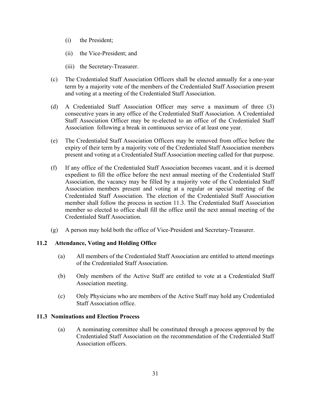- (i) the President;
- (ii) the Vice-President; and
- (iii) the Secretary-Treasurer.
- (c) The Credentialed Staff Association Officers shall be elected annually for a one-year term by a majority vote of the members of the Credentialed Staff Association present and voting at a meeting of the Credentialed Staff Association.
- (d) A Credentialed Staff Association Officer may serve a maximum of three (3) consecutive years in any office of the Credentialed Staff Association. A Credentialed Staff Association Officer may be re-elected to an office of the Credentialed Staff Association following a break in continuous service of at least one year.
- (e) The Credentialed Staff Association Officers may be removed from office before the expiry of their term by a majority vote of the Credentialed Staff Association members present and voting at a Credentialed Staff Association meeting called for that purpose.
- (f) If any office of the Credentialed Staff Association becomes vacant, and it is deemed expedient to fill the office before the next annual meeting of the Credentialed Staff Association, the vacancy may be filled by a majority vote of the Credentialed Staff Association members present and voting at a regular or special meeting of the Credentialed Staff Association. The election of the Credentialed Staff Association member shall follow the process in section 11.3. The Credentialed Staff Association member so elected to office shall fill the office until the next annual meeting of the Credentialed Staff Association.
- (g) A person may hold both the office of Vice-President and Secretary-Treasurer.

# **11.2 Attendance, Voting and Holding Office**

- (a) All members of the Credentialed Staff Association are entitled to attend meetings of the Credentialed Staff Association.
- (b) Only members of the Active Staff are entitled to vote at a Credentialed Staff Association meeting.
- (c) Only Physicians who are members of the Active Staff may hold any Credentialed Staff Association office.

# **11.3 Nominations and Election Process**

(a) A nominating committee shall be constituted through a process approved by the Credentialed Staff Association on the recommendation of the Credentialed Staff Association officers.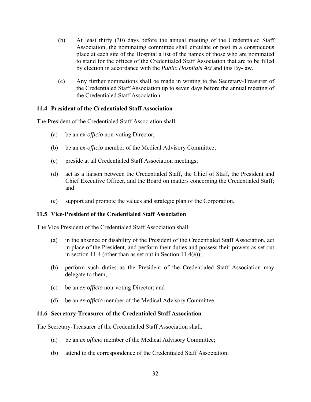- (b) At least thirty (30) days before the annual meeting of the Credentialed Staff Association, the nominating committee shall circulate or post in a conspicuous place at each site of the Hospital a list of the names of those who are nominated to stand for the offices of the Credentialed Staff Association that are to be filled by election in accordance with the *Public Hospitals Act* and this By-law.
- (c) Any further nominations shall be made in writing to the Secretary-Treasurer of the Credentialed Staff Association up to seven days before the annual meeting of the Credentialed Staff Association.

### **11.4 President of the Credentialed Staff Association**

The President of the Credentialed Staff Association shall:

- (a) be an *ex-officio* non-voting Director;
- (b) be an *ex-officio* member of the Medical Advisory Committee;
- (c) preside at all Credentialed Staff Association meetings;
- (d) act as a liaison between the Credentialed Staff, the Chief of Staff, the President and Chief Executive Officer, and the Board on matters concerning the Credentialed Staff; and
- (e) support and promote the values and strategic plan of the Corporation.

#### **11.5 Vice-President of the Credentialed Staff Association**

The Vice President of the Credentialed Staff Association shall:

- (a) in the absence or disability of the President of the Credentialed Staff Association, act in place of the President, and perform their duties and possess their powers as set out in section 11.4 (other than as set out in Section 11.4(e));
- (b) perform such duties as the President of the Credentialed Staff Association may delegate to them;
- (c) be an *ex-officio* non-voting Director; and
- (d) be an *ex-officio* member of the Medical Advisory Committee.

#### **11.6 Secretary-Treasurer of the Credentialed Staff Association**

The Secretary-Treasurer of the Credentialed Staff Association shall:

- (a) be an *ex officio* member of the Medical Advisory Committee;
- (b) attend to the correspondence of the Credentialed Staff Association;